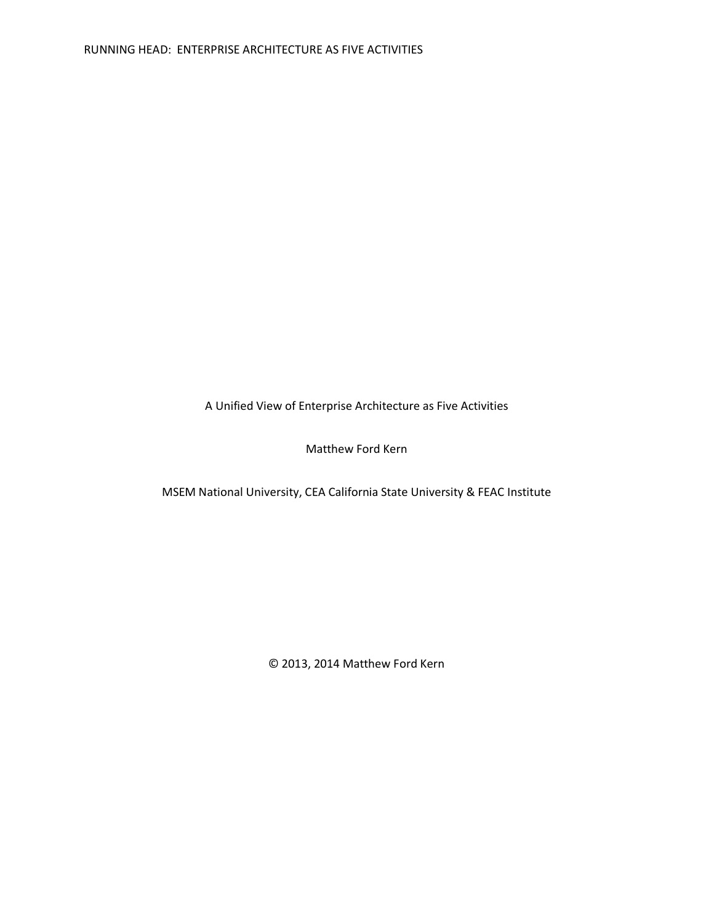A Unified View of Enterprise Architecture as Five Activities

Matthew Ford Kern

MSEM National University, CEA California State University & FEAC Institute

© 2013, 2014 Matthew Ford Kern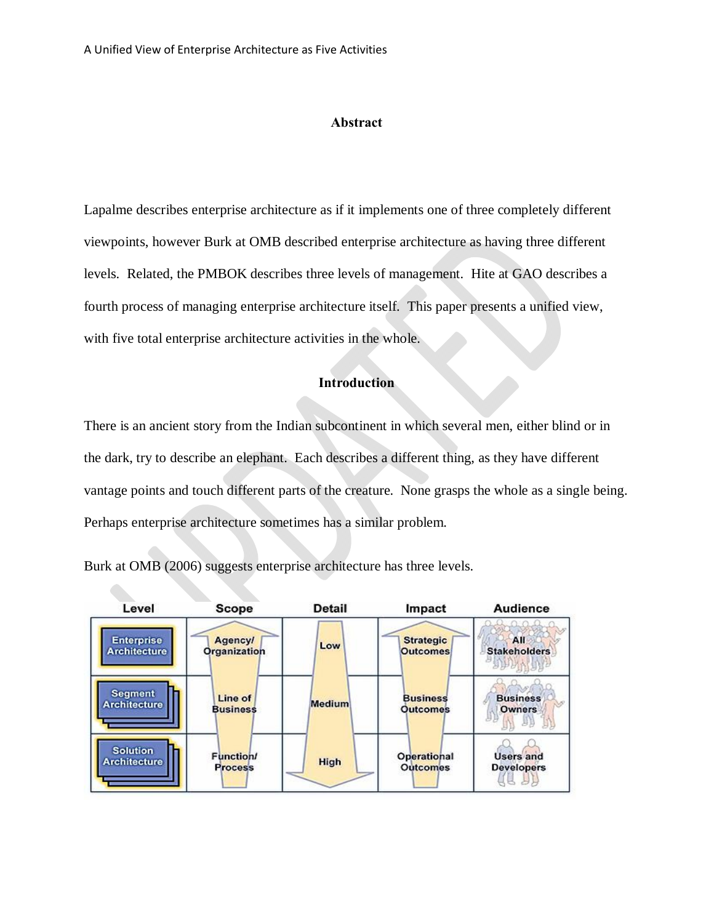## **Abstract**

Lapalme describes enterprise architecture as if it implements one of three completely different viewpoints, however Burk at OMB described enterprise architecture as having three different levels. Related, the PMBOK describes three levels of management. Hite at GAO describes a fourth process of managing enterprise architecture itself. This paper presents a unified view, with five total enterprise architecture activities in the whole.

## **Introduction**

There is an ancient story from the Indian subcontinent in which several men, either blind or in the dark, try to describe an elephant. Each describes a different thing, as they have different vantage points and touch different parts of the creature. None grasps the whole as a single being. Perhaps enterprise architecture sometimes has a similar problem.



Burk at OMB (2006) suggests enterprise architecture has three levels.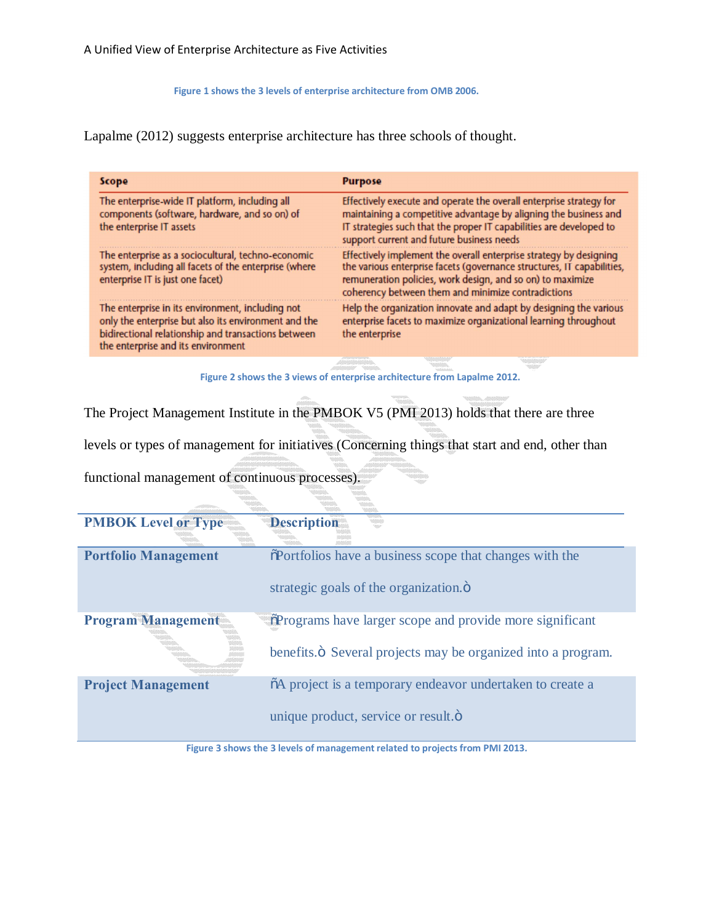#### **Figure 1 shows the 3 levels of enterprise architecture from OMB 2006.**

Lapalme (2012) suggests enterprise architecture has three schools of thought.

| Scope                                                                                                                                                                                                 | <b>Purpose</b>                                                                                                                                                                                                                                                   |  |
|-------------------------------------------------------------------------------------------------------------------------------------------------------------------------------------------------------|------------------------------------------------------------------------------------------------------------------------------------------------------------------------------------------------------------------------------------------------------------------|--|
| The enterprise-wide IT platform, including all<br>components (software, hardware, and so on) of<br>the enterprise IT assets                                                                           | Effectively execute and operate the overall enterprise strategy for<br>maintaining a competitive advantage by aligning the business and<br>IT strategies such that the proper IT capabilities are developed to<br>support current and future business needs      |  |
| The enterprise as a sociocultural, techno-economic<br>system, including all facets of the enterprise (where<br>enterprise IT is just one facet)                                                       | Effectively implement the overall enterprise strategy by designing<br>the various enterprise facets (governance structures, IT capabilities,<br>remuneration policies, work design, and so on) to maximize<br>coherency between them and minimize contradictions |  |
| The enterprise in its environment, including not<br>only the enterprise but also its environment and the<br>bidirectional relationship and transactions between<br>the enterprise and its environment | Help the organization innovate and adapt by designing the various<br>enterprise facets to maximize organizational learning throughout<br>the enterprise                                                                                                          |  |

**Figure 2 shows the 3 views of enterprise architecture from Lapalme 2012.**

The Project Management Institute in the PMBOK V5 (PMI 2013) holds that there are three

levels or types of management for initiatives (Concerning things that start and end, other than

functional management of continuous processes).

| <b>PMBOK Level or Type</b>  | <b>Description</b>                                                  |  |  |  |
|-----------------------------|---------------------------------------------------------------------|--|--|--|
|                             |                                                                     |  |  |  |
| <b>Portfolio Management</b> | opertfolios have a business scope that changes with the             |  |  |  |
|                             | strategic goals of the organization.o                               |  |  |  |
| <b>Program Management</b>   | <b>E</b> operation of the proper scope and provide more significant |  |  |  |
|                             | benefits o Several projects may be organized into a program.        |  |  |  |
| <b>Project Management</b>   | $\tilde{o}A$ project is a temporary endeavor undertaken to create a |  |  |  |
|                             | unique product, service or result.ö                                 |  |  |  |

**Figure 3 shows the 3 levels of management related to projects from PMI 2013.**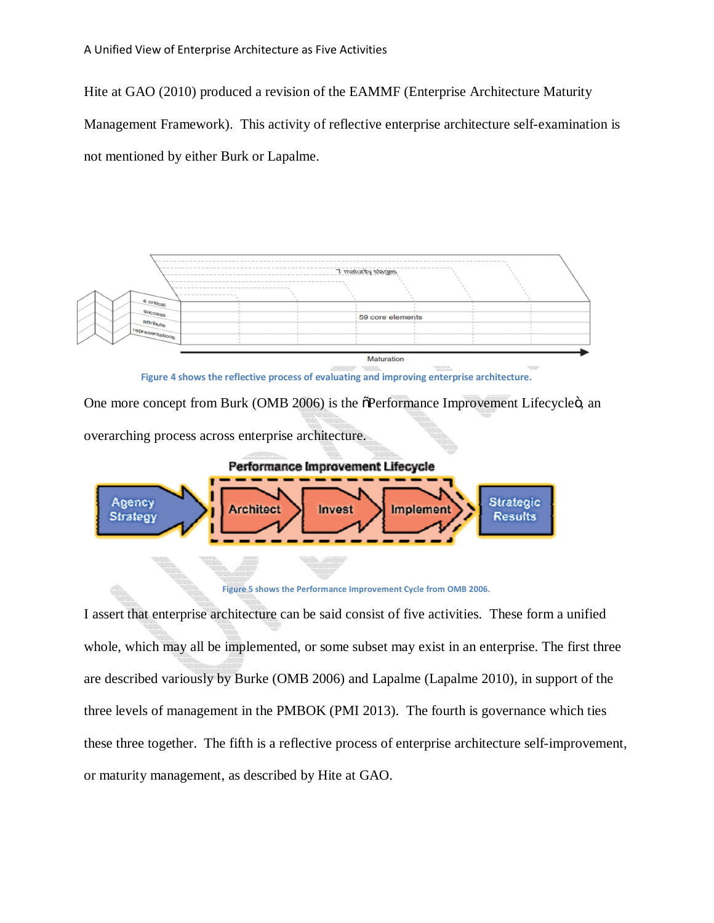Hite at GAO (2010) produced a revision of the EAMMF (Enterprise Architecture Maturity Management Framework). This activity of reflective enterprise architecture self-examination is not mentioned by either Burk or Lapalme.



**Figure 4 shows the reflective process of evaluating and improving enterprise architecture.**

One more concept from Burk (OMB 2006) is the  $\tilde{\text{O}}$ Performance Improvement Lifecycleö, an overarching process across enterprise architecture.



**Figure 5 shows the Performance Improvement Cycle from OMB 2006.**

I assert that enterprise architecture can be said consist of five activities. These form a unified whole, which may all be implemented, or some subset may exist in an enterprise. The first three are described variously by Burke (OMB 2006) and Lapalme (Lapalme 2010), in support of the three levels of management in the PMBOK (PMI 2013). The fourth is governance which ties these three together. The fifth is a reflective process of enterprise architecture self-improvement, or maturity management, as described by Hite at GAO.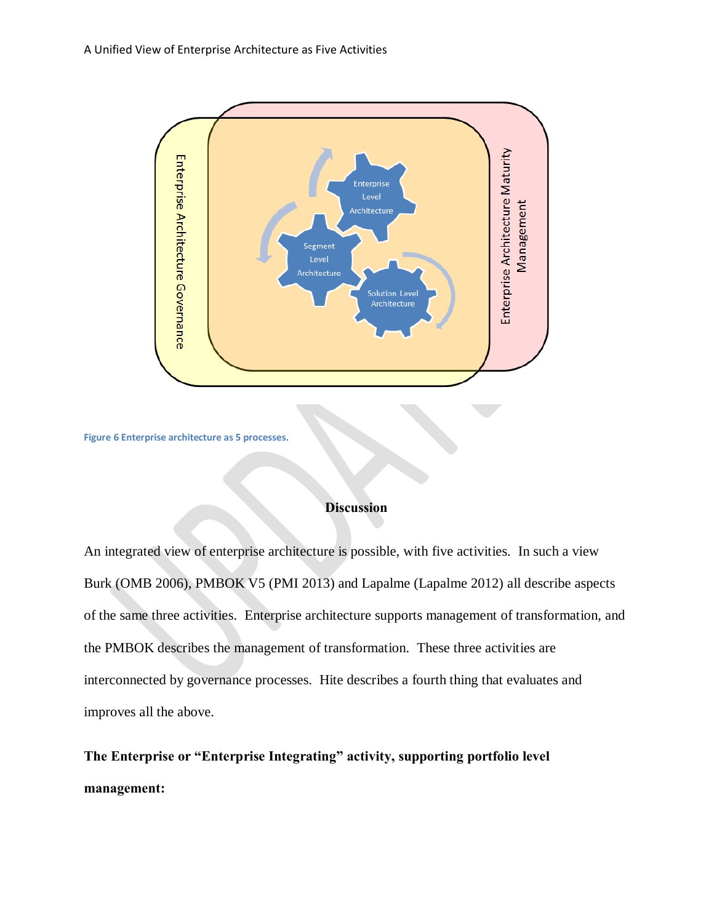

**Figure 6 Enterprise architecture as 5 processes.**

## **Discussion**

An integrated view of enterprise architecture is possible, with five activities. In such a view Burk (OMB 2006), PMBOK V5 (PMI 2013) and Lapalme (Lapalme 2012) all describe aspects of the same three activities. Enterprise architecture supports management of transformation, and the PMBOK describes the management of transformation. These three activities are interconnected by governance processes. Hite describes a fourth thing that evaluates and improves all the above.

**The Enterprise or "Enterprise Integrating" activity, supporting portfolio level management:**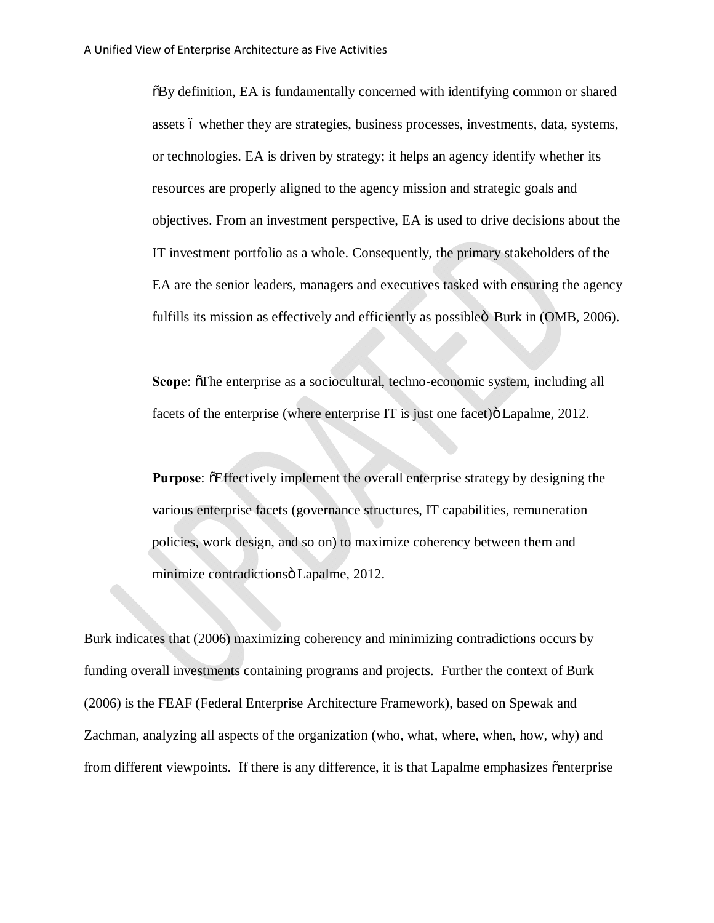"By definition, EA is fundamentally concerned with identifying common or shared assets 6 whether they are strategies, business processes, investments, data, systems, or technologies. EA is driven by strategy; it helps an agency identify whether its resources are properly aligned to the agency mission and strategic goals and objectives. From an investment perspective, EA is used to drive decisions about the IT investment portfolio as a whole. Consequently, the primary stakeholders of the EA are the senior leaders, managers and executives tasked with ensuring the agency fulfills its mission as effectively and efficiently as possible  $\ddot{\text{B}}$  Burk in (OMB, 2006).

**Scope**:  $\tilde{\sigma}$ The enterprise as a sociocultural, techno-economic system, including all facets of the enterprise (where enterprise IT is just one facet) ö Lapalme, 2012.

**Purpose:**  $\delta$ Effectively implement the overall enterprise strategy by designing the various enterprise facets (governance structures, IT capabilities, remuneration policies, work design, and so on) to maximize coherency between them and minimize contradictions Lapalme, 2012.

Burk indicates that (2006) maximizing coherency and minimizing contradictions occurs by funding overall investments containing programs and projects. Further the context of Burk (2006) is the FEAF (Federal Enterprise Architecture Framework), based on Spewak and Zachman, analyzing all aspects of the organization (who, what, where, when, how, why) and from different viewpoints. If there is any difference, it is that Lapalme emphasizes  $\tilde{o}$ enterprise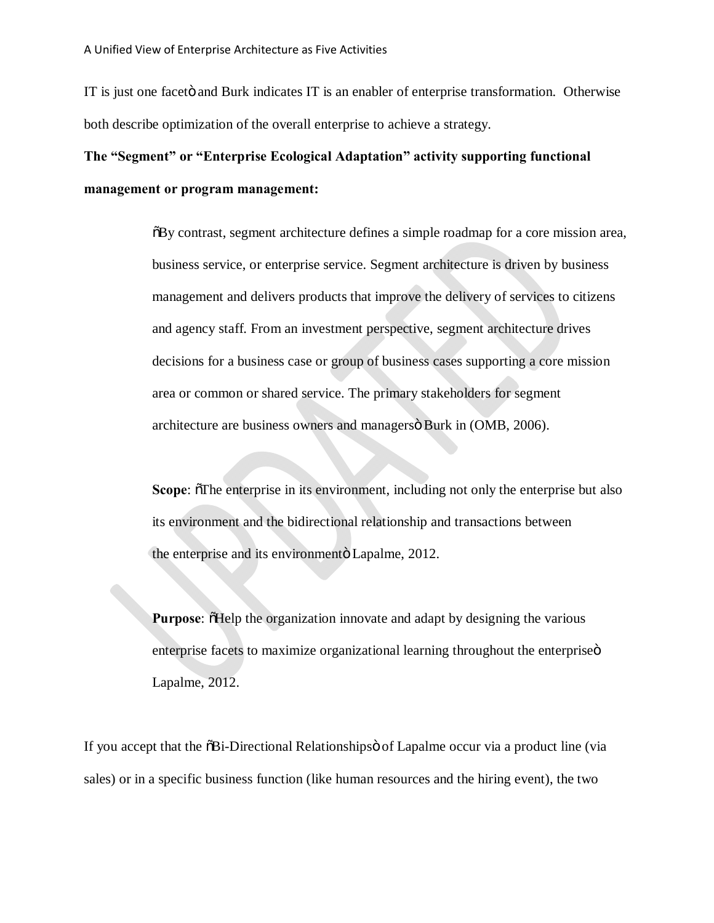IT is just one faceto and Burk indicates IT is an enabler of enterprise transformation. Otherwise both describe optimization of the overall enterprise to achieve a strategy.

# **The "Segment" or "Enterprise Ecological Adaptation" activity supporting functional management or program management:**

"By contrast, segment architecture defines a simple roadmap for a core mission area, business service, or enterprise service. Segment architecture is driven by business management and delivers products that improve the delivery of services to citizens and agency staff. From an investment perspective, segment architecture drives decisions for a business case or group of business cases supporting a core mission area or common or shared service. The primary stakeholders for segment architecture are business owners and managersö Burk in (OMB, 2006).

**Scope:**  $\delta$ The enterprise in its environment, including not only the enterprise but also its environment and the bidirectional relationship and transactions between the enterprise and its environmento Lapalme, 2012.

**Purpose:**  $\delta$ Help the organization innovate and adapt by designing the various enterprise facets to maximize organizational learning throughout the enterprise o Lapalme, 2012.

If you accept that the  $\delta$ Bi-Directional Relationships of Lapalme occur via a product line (via sales) or in a specific business function (like human resources and the hiring event), the two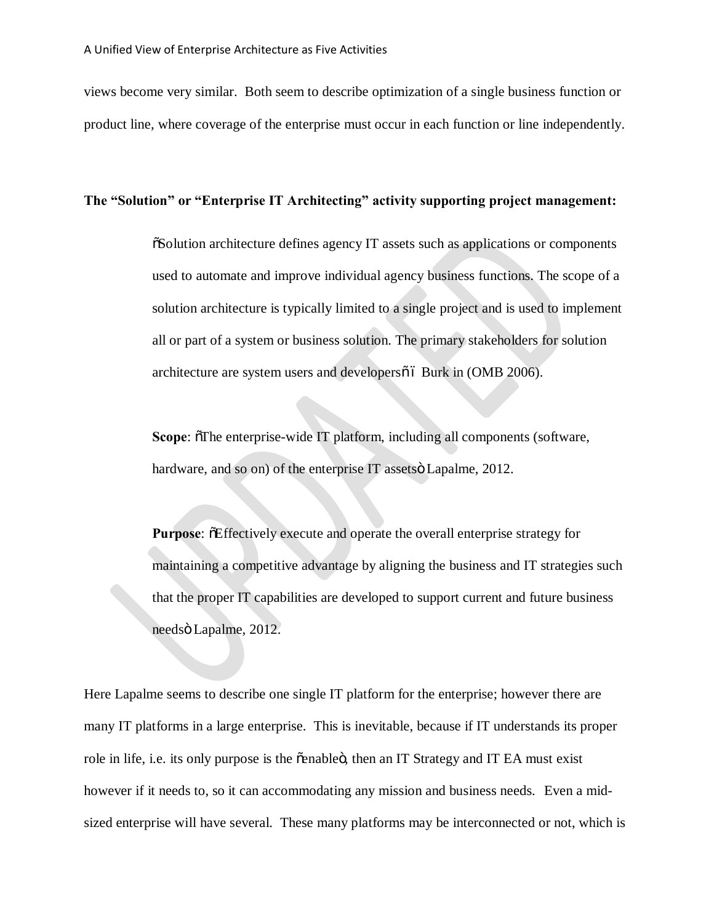views become very similar. Both seem to describe optimization of a single business function or product line, where coverage of the enterprise must occur in each function or line independently.

## **The "Solution" or "Enterprise IT Architecting" activity supporting project management:**

"Solution architecture defines agency IT assets such as applications or components used to automate and improve individual agency business functions. The scope of a solution architecture is typically limited to a single project and is used to implement all or part of a system or business solution. The primary stakeholders for solution architecture are system users and developers o 6 Burk in (OMB 2006).

**Scope**:  $\tilde{\sigma}$ The enterprise-wide IT platform, including all components (software, hardware, and so on) of the enterprise IT assetsö Lapalme, 2012.

**Purpose:**  $\delta$ Effectively execute and operate the overall enterprise strategy for maintaining a competitive advantage by aligning the business and IT strategies such that the proper IT capabilities are developed to support current and future business needsö Lapalme, 2012.

Here Lapalme seems to describe one single IT platform for the enterprise; however there are many IT platforms in a large enterprise. This is inevitable, because if IT understands its proper role in life, i.e. its only purpose is the  $\tilde{\text{c}}$ enable $\ddot{\text{o}}$ , then an IT Strategy and IT EA must exist however if it needs to, so it can accommodating any mission and business needs. Even a midsized enterprise will have several. These many platforms may be interconnected or not, which is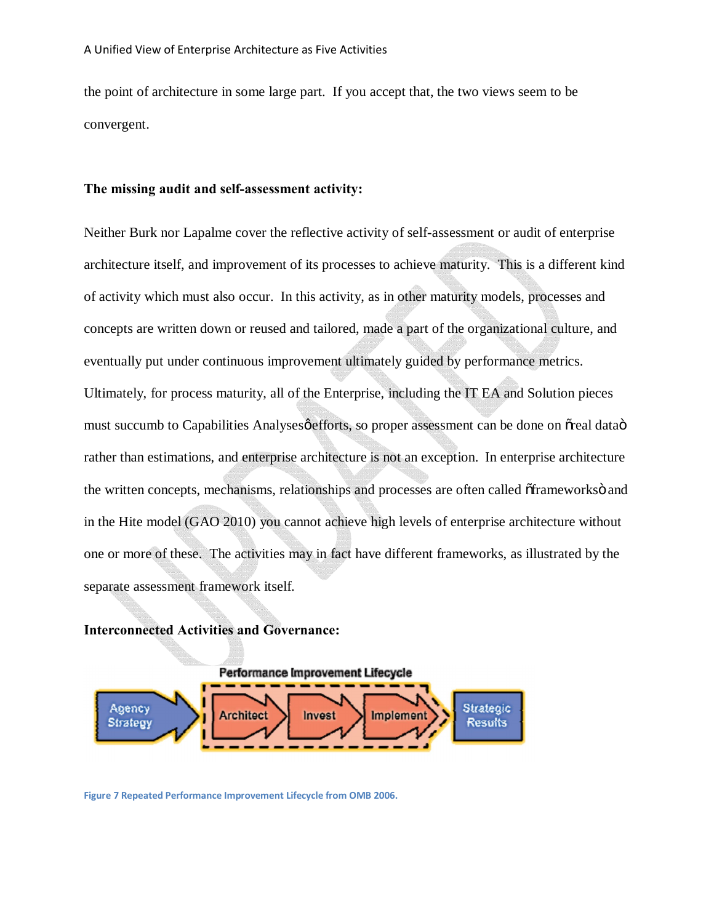the point of architecture in some large part. If you accept that, the two views seem to be convergent.

#### **The missing audit and self-assessment activity:**

Neither Burk nor Lapalme cover the reflective activity of self-assessment or audit of enterprise architecture itself, and improvement of its processes to achieve maturity. This is a different kind of activity which must also occur. In this activity, as in other maturity models, processes and concepts are written down or reused and tailored, made a part of the organizational culture, and eventually put under continuous improvement ultimately guided by performance metrics. Ultimately, for process maturity, all of the Enterprise, including the IT EA and Solution pieces must succumb to Capabilities Analyses *ø* efforts, so proper assessment can be done on orteal dataon rather than estimations, and enterprise architecture is not an exception. In enterprise architecture the written concepts, mechanisms, relationships and processes are often called  $\tilde{\text{of}}$ rameworks $\ddot{\text{o}}$  and in the Hite model (GAO 2010) you cannot achieve high levels of enterprise architecture without one or more of these. The activities may in fact have different frameworks, as illustrated by the separate assessment framework itself.

## **Interconnected Activities and Governance:**



**Figure 7 Repeated Performance Improvement Lifecycle from OMB 2006.**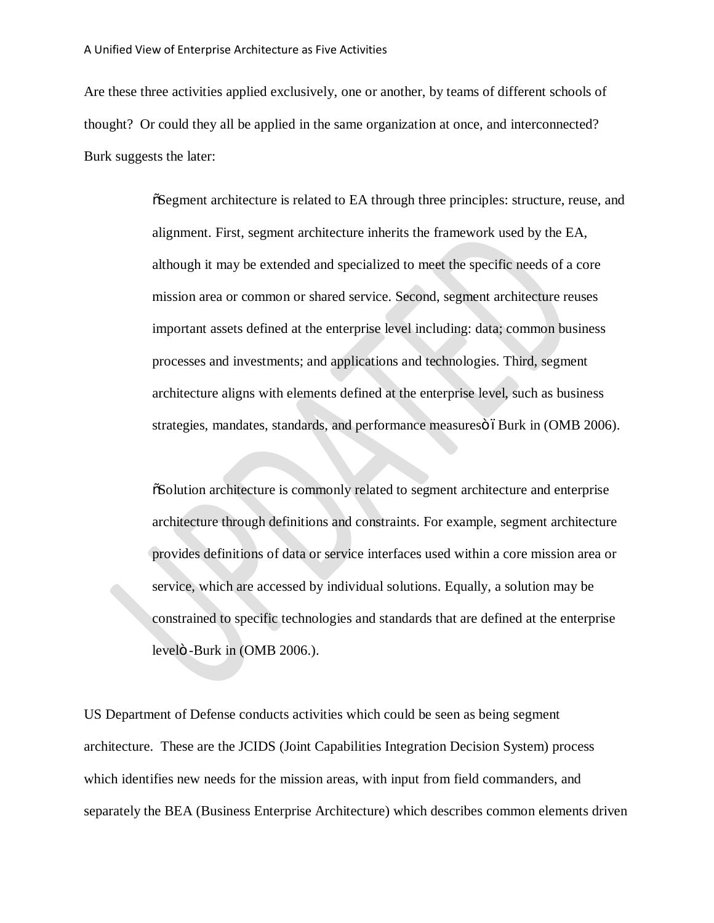Are these three activities applied exclusively, one or another, by teams of different schools of thought? Or could they all be applied in the same organization at once, and interconnected? Burk suggests the later:

> $\delta$ Segment architecture is related to EA through three principles: structure, reuse, and alignment. First, segment architecture inherits the framework used by the EA, although it may be extended and specialized to meet the specific needs of a core mission area or common or shared service. Second, segment architecture reuses important assets defined at the enterprise level including: data; common business processes and investments; and applications and technologies. Third, segment architecture aligns with elements defined at the enterprise level, such as business strategies, mandates, standards, and performance measuresö óBurk in (OMB 2006).

 $\delta$ Solution architecture is commonly related to segment architecture and enterprise architecture through definitions and constraints. For example, segment architecture provides definitions of data or service interfaces used within a core mission area or service, which are accessed by individual solutions. Equally, a solution may be constrained to specific technologies and standards that are defined at the enterprise levelö -Burk in (OMB 2006.).

US Department of Defense conducts activities which could be seen as being segment architecture. These are the JCIDS (Joint Capabilities Integration Decision System) process which identifies new needs for the mission areas, with input from field commanders, and separately the BEA (Business Enterprise Architecture) which describes common elements driven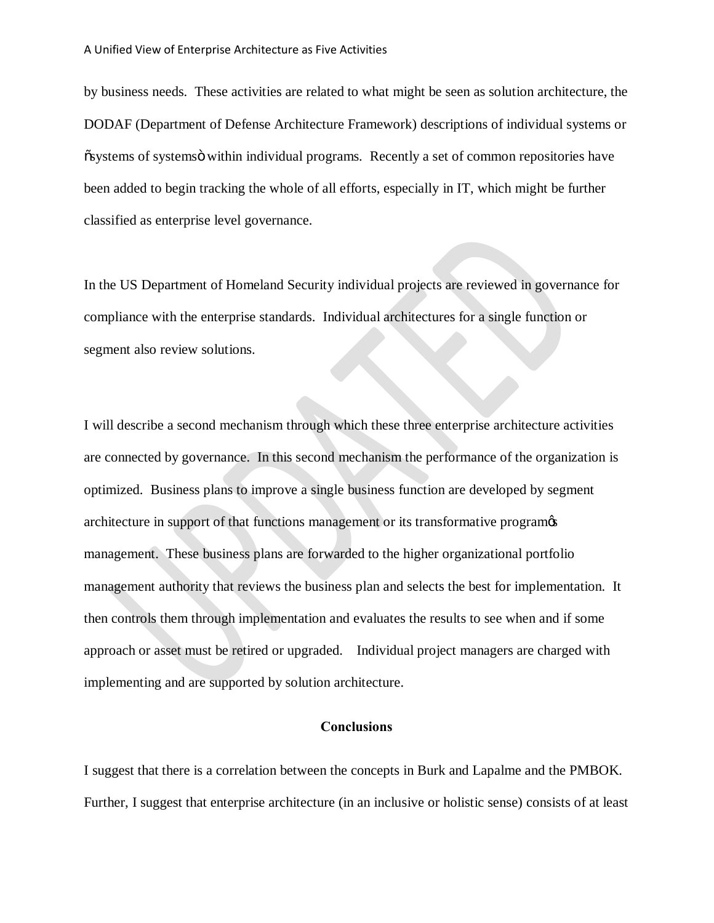by business needs. These activities are related to what might be seen as solution architecture, the DODAF (Department of Defense Architecture Framework) descriptions of individual systems or  $\tilde{\text{cos}}$  systems of systems  $\ddot{\text{sin}}$  within individual programs. Recently a set of common repositories have been added to begin tracking the whole of all efforts, especially in IT, which might be further classified as enterprise level governance.

In the US Department of Homeland Security individual projects are reviewed in governance for compliance with the enterprise standards. Individual architectures for a single function or segment also review solutions.

I will describe a second mechanism through which these three enterprise architecture activities are connected by governance. In this second mechanism the performance of the organization is optimized. Business plans to improve a single business function are developed by segment architecture in support of that functions management or its transformative program $\alpha$ management. These business plans are forwarded to the higher organizational portfolio management authority that reviews the business plan and selects the best for implementation. It then controls them through implementation and evaluates the results to see when and if some approach or asset must be retired or upgraded. Individual project managers are charged with implementing and are supported by solution architecture.

## **Conclusions**

I suggest that there is a correlation between the concepts in Burk and Lapalme and the PMBOK. Further, I suggest that enterprise architecture (in an inclusive or holistic sense) consists of at least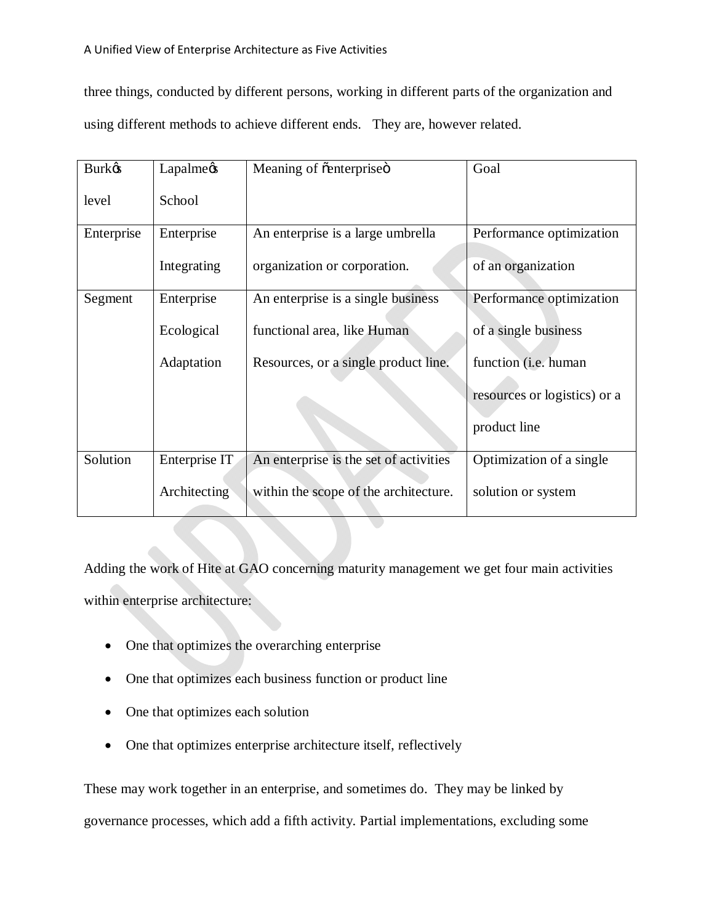### A Unified View of Enterprise Architecture as Five Activities

three things, conducted by different persons, working in different parts of the organization and using different methods to achieve different ends. They are, however related.

| <b>Burk</b> | Lapalmegs     | Meaning of õenterpriseö                | Goal                         |
|-------------|---------------|----------------------------------------|------------------------------|
| level       | School        |                                        |                              |
| Enterprise  | Enterprise    | An enterprise is a large umbrella      | Performance optimization     |
|             | Integrating   | organization or corporation.           | of an organization           |
| Segment     | Enterprise    | An enterprise is a single business     | Performance optimization     |
|             | Ecological    | functional area, like Human            | of a single business         |
|             | Adaptation    | Resources, or a single product line.   | function ( <i>i.e.</i> human |
|             |               |                                        | resources or logistics) or a |
|             |               |                                        | product line                 |
| Solution    | Enterprise IT | An enterprise is the set of activities | Optimization of a single     |
|             | Architecting  | within the scope of the architecture.  | solution or system           |

Adding the work of Hite at GAO concerning maturity management we get four main activities within enterprise architecture:

- One that optimizes the overarching enterprise
- One that optimizes each business function or product line
- One that optimizes each solution
- · One that optimizes enterprise architecture itself, reflectively

These may work together in an enterprise, and sometimes do. They may be linked by governance processes, which add a fifth activity. Partial implementations, excluding some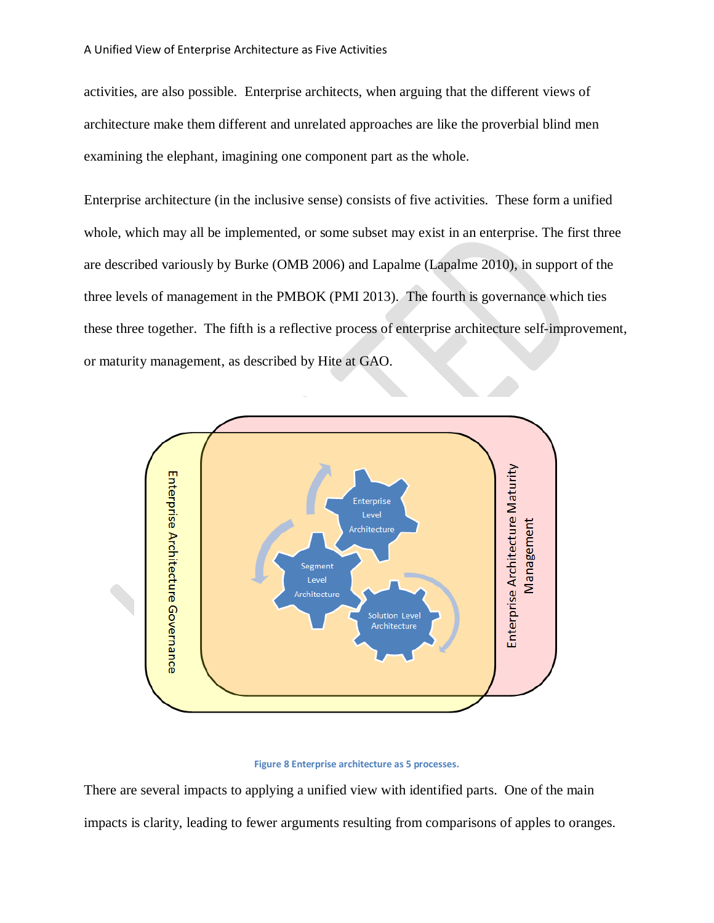activities, are also possible. Enterprise architects, when arguing that the different views of architecture make them different and unrelated approaches are like the proverbial blind men examining the elephant, imagining one component part as the whole.

Enterprise architecture (in the inclusive sense) consists of five activities. These form a unified whole, which may all be implemented, or some subset may exist in an enterprise. The first three are described variously by Burke (OMB 2006) and Lapalme (Lapalme 2010), in support of the three levels of management in the PMBOK (PMI 2013). The fourth is governance which ties these three together. The fifth is a reflective process of enterprise architecture self-improvement, or maturity management, as described by Hite at GAO.



#### **Figure 8 Enterprise architecture as 5 processes.**

There are several impacts to applying a unified view with identified parts. One of the main impacts is clarity, leading to fewer arguments resulting from comparisons of apples to oranges.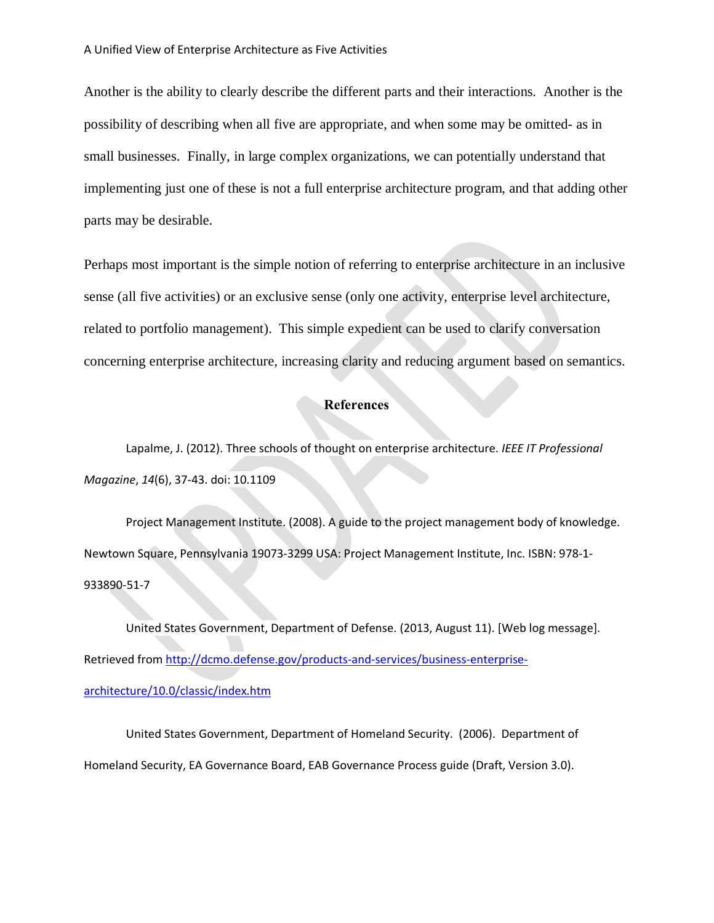Another is the ability to clearly describe the different parts and their interactions. Another is the possibility of describing when all five are appropriate, and when some may be omitted- as in small businesses. Finally, in large complex organizations, we can potentially understand that implementing just one of these is not a full enterprise architecture program, and that adding other parts may be desirable.

Perhaps most important is the simple notion of referring to enterprise architecture in an inclusive sense (all five activities) or an exclusive sense (only one activity, enterprise level architecture, related to portfolio management). This simple expedient can be used to clarify conversation concerning enterprise architecture, increasing clarity and reducing argument based on semantics.

#### **References**

Lapalme, J. (2012). Three schools of thought on enterprise architecture. *IEEE IT Professional Magazine*, *14*(6), 37-43. doi: 10.1109

Project Management Institute. (2008). A guide to the project management body of knowledge. Newtown Square, Pennsylvania 19073-3299 USA: Project Management Institute, Inc. ISBN: 978-1- 933890-51-7

United States Government, Department of Defense. (2013, August 11). [Web log message]. Retrieved from [http://dcmo.defense.gov/products-and-services/business-enterprise](http://dcmo.defense.gov/products-and-services/business-enterprise-architecture/10.0/classic/index.htm)[architecture/10.0/classic/index.htm](http://dcmo.defense.gov/products-and-services/business-enterprise-architecture/10.0/classic/index.htm)

United States Government, Department of Homeland Security. (2006). Department of Homeland Security, EA Governance Board, EAB Governance Process guide (Draft, Version 3.0).